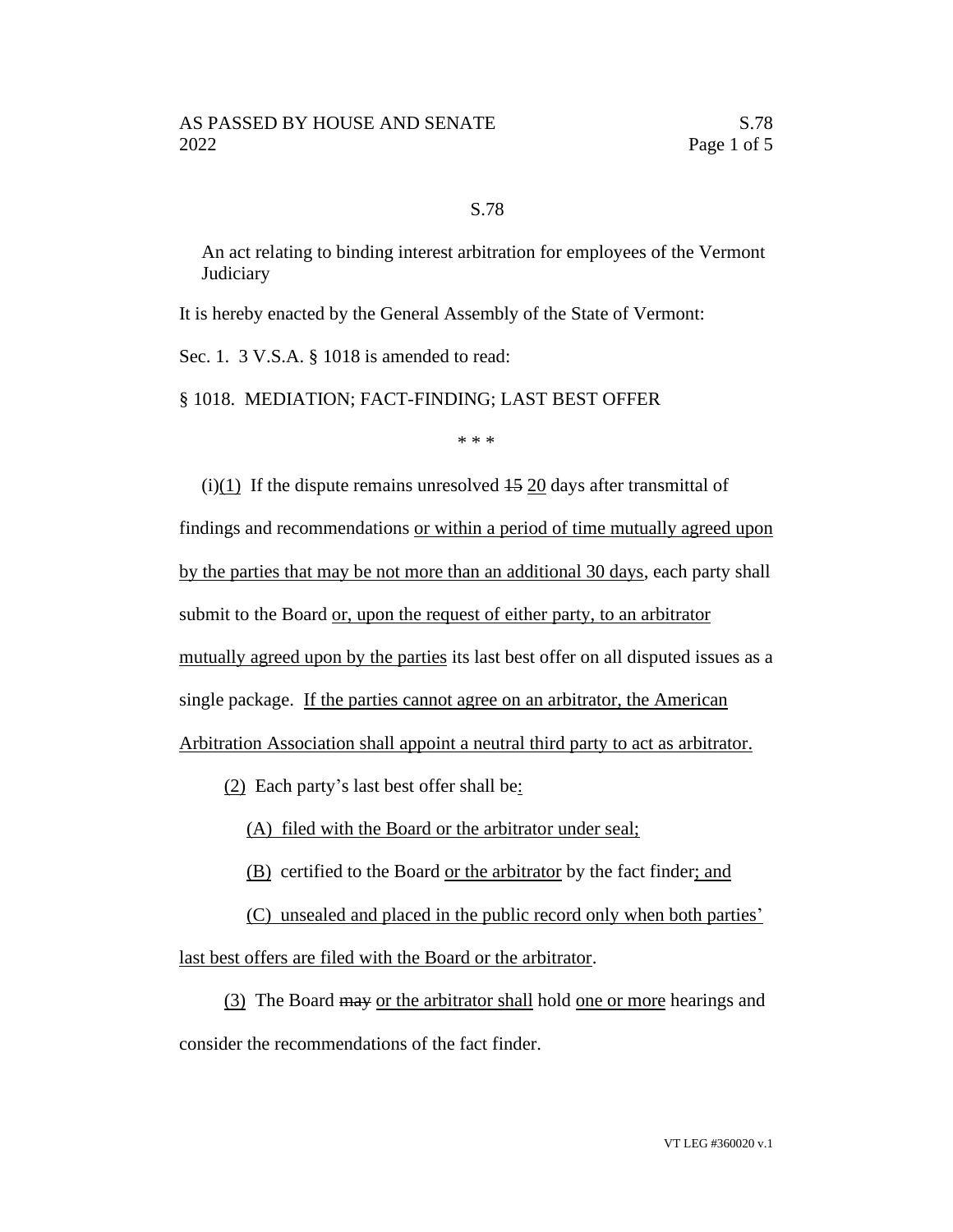## S.78

An act relating to binding interest arbitration for employees of the Vermont **Judiciary** 

It is hereby enacted by the General Assembly of the State of Vermont:

Sec. 1. 3 V.S.A. § 1018 is amended to read:

§ 1018. MEDIATION; FACT-FINDING; LAST BEST OFFER

\* \* \*

 $(i)(1)$  If the dispute remains unresolved  $15$  20 days after transmittal of

findings and recommendations or within a period of time mutually agreed upon by the parties that may be not more than an additional 30 days, each party shall submit to the Board or, upon the request of either party, to an arbitrator mutually agreed upon by the parties its last best offer on all disputed issues as a single package. If the parties cannot agree on an arbitrator, the American Arbitration Association shall appoint a neutral third party to act as arbitrator.

(2) Each party's last best offer shall be:

(A) filed with the Board or the arbitrator under seal;

(B) certified to the Board or the arbitrator by the fact finder; and

(C) unsealed and placed in the public record only when both parties'

last best offers are filed with the Board or the arbitrator.

(3) The Board may or the arbitrator shall hold one or more hearings and consider the recommendations of the fact finder.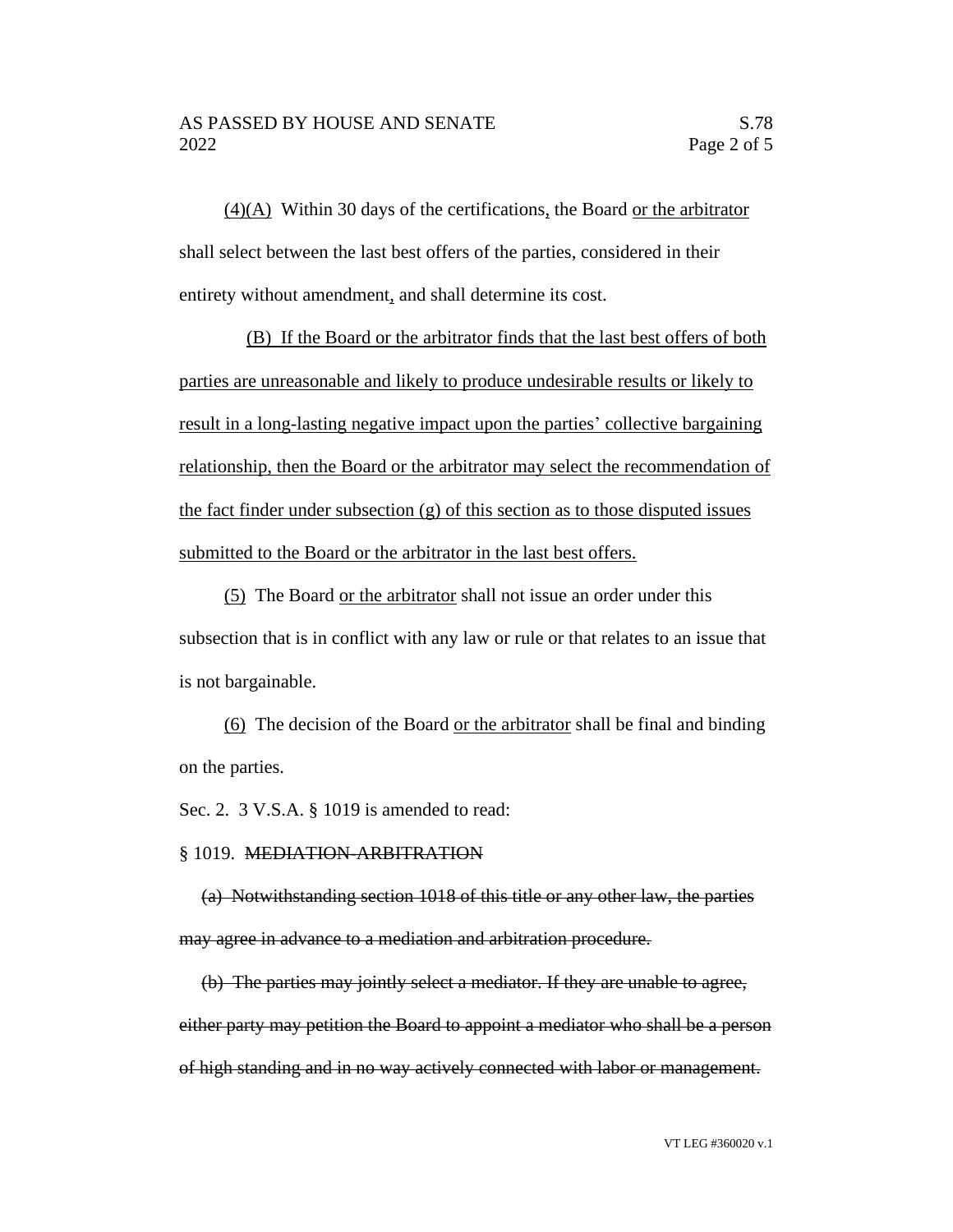(4)(A) Within 30 days of the certifications, the Board or the arbitrator shall select between the last best offers of the parties, considered in their entirety without amendment, and shall determine its cost.

(B) If the Board or the arbitrator finds that the last best offers of both parties are unreasonable and likely to produce undesirable results or likely to result in a long-lasting negative impact upon the parties' collective bargaining relationship, then the Board or the arbitrator may select the recommendation of the fact finder under subsection (g) of this section as to those disputed issues submitted to the Board or the arbitrator in the last best offers.

(5) The Board or the arbitrator shall not issue an order under this subsection that is in conflict with any law or rule or that relates to an issue that is not bargainable.

(6) The decision of the Board or the arbitrator shall be final and binding on the parties.

Sec. 2. 3 V.S.A. § 1019 is amended to read:

## § 1019. MEDIATION-ARBITRATION

(a) Notwithstanding section 1018 of this title or any other law, the parties may agree in advance to a mediation and arbitration procedure.

(b) The parties may jointly select a mediator. If they are unable to agree, either party may petition the Board to appoint a mediator who shall be a person of high standing and in no way actively connected with labor or management.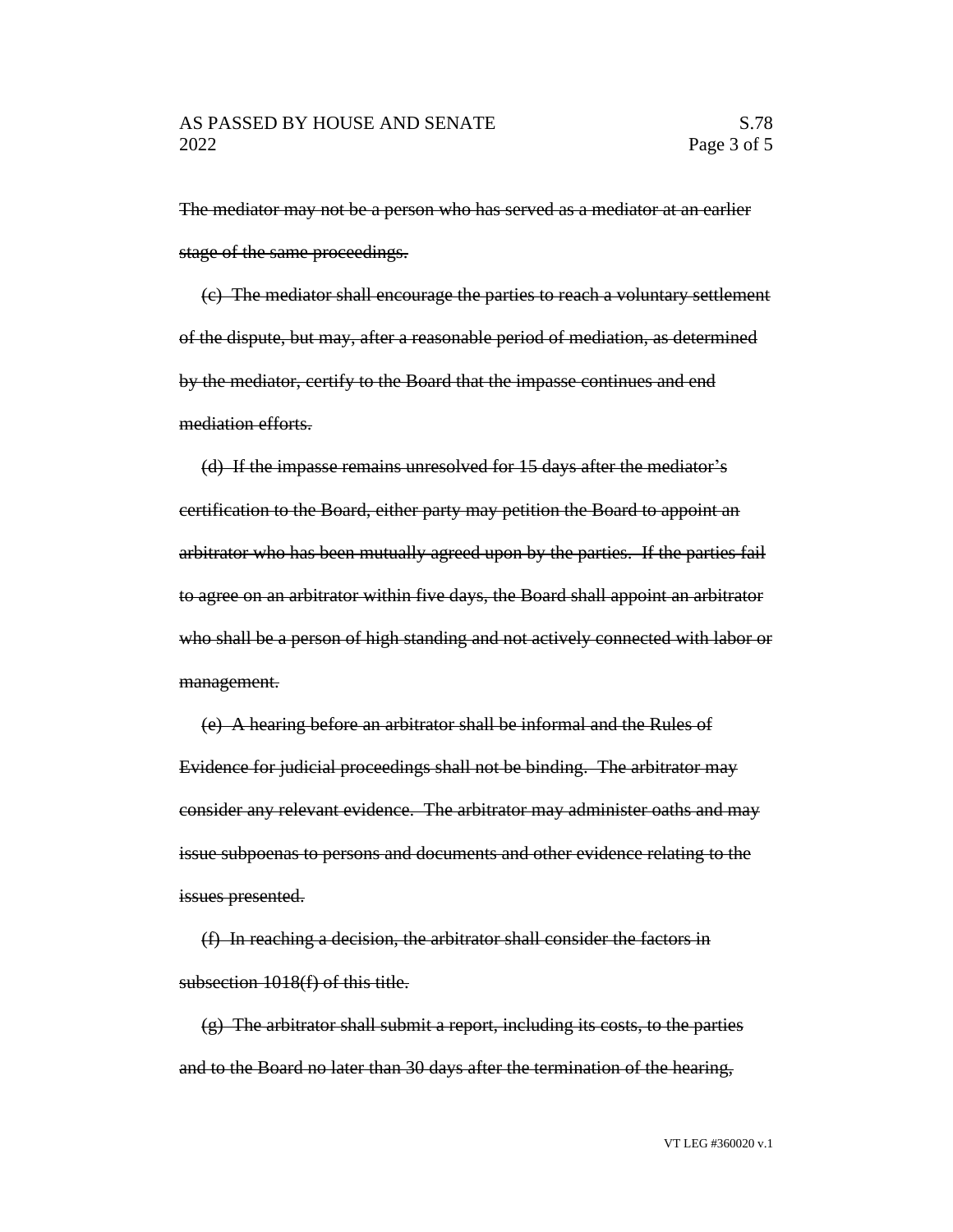The mediator may not be a person who has served as a mediator at an earlier stage of the same proceedings.

(c) The mediator shall encourage the parties to reach a voluntary settlement of the dispute, but may, after a reasonable period of mediation, as determined by the mediator, certify to the Board that the impasse continues and end mediation efforts.

(d) If the impasse remains unresolved for 15 days after the mediator's certification to the Board, either party may petition the Board to appoint an arbitrator who has been mutually agreed upon by the parties. If the parties fail to agree on an arbitrator within five days, the Board shall appoint an arbitrator who shall be a person of high standing and not actively connected with labor or management.

(e) A hearing before an arbitrator shall be informal and the Rules of Evidence for judicial proceedings shall not be binding. The arbitrator may consider any relevant evidence. The arbitrator may administer oaths and may issue subpoenas to persons and documents and other evidence relating to the issues presented.

(f) In reaching a decision, the arbitrator shall consider the factors in subsection 1018(f) of this title.

(g) The arbitrator shall submit a report, including its costs, to the parties and to the Board no later than 30 days after the termination of the hearing,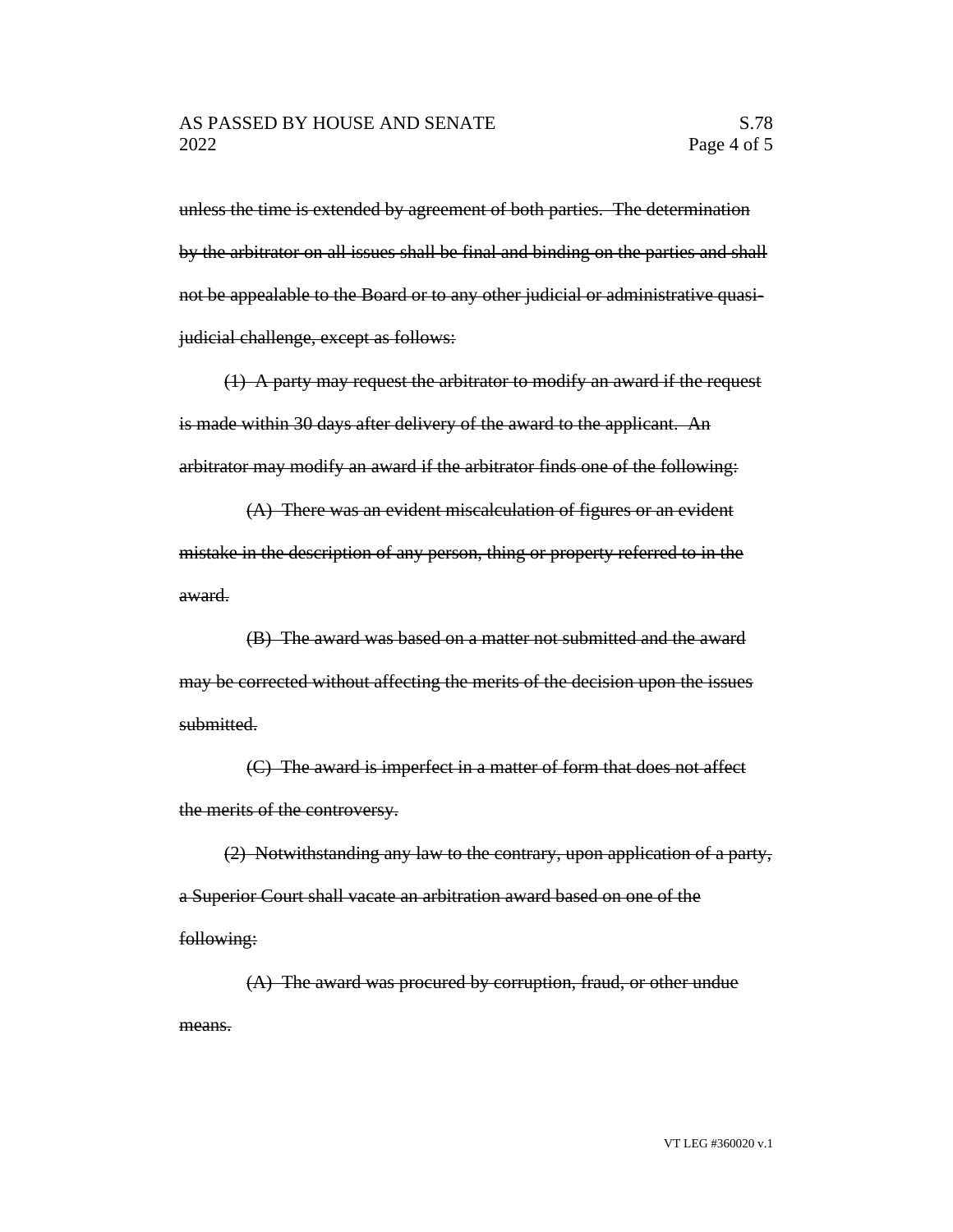unless the time is extended by agreement of both parties. The determination by the arbitrator on all issues shall be final and binding on the parties and shall not be appealable to the Board or to any other judicial or administrative quasijudicial challenge, except as follows:

(1) A party may request the arbitrator to modify an award if the request is made within 30 days after delivery of the award to the applicant. An arbitrator may modify an award if the arbitrator finds one of the following:

(A) There was an evident miscalculation of figures or an evident mistake in the description of any person, thing or property referred to in the award.

(B) The award was based on a matter not submitted and the award may be corrected without affecting the merits of the decision upon the issues submitted.

(C) The award is imperfect in a matter of form that does not affect the merits of the controversy.

(2) Notwithstanding any law to the contrary, upon application of a party, a Superior Court shall vacate an arbitration award based on one of the following:

(A) The award was procured by corruption, fraud, or other undue means.